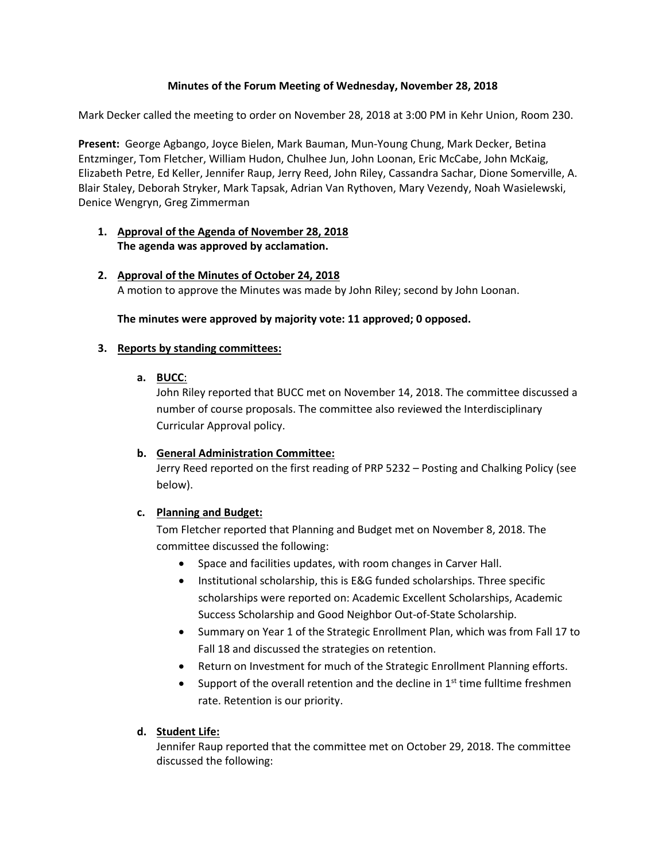## **Minutes of the Forum Meeting of Wednesday, November 28, 2018**

Mark Decker called the meeting to order on November 28, 2018 at 3:00 PM in Kehr Union, Room 230.

**Present:** George Agbango, Joyce Bielen, Mark Bauman, Mun-Young Chung, Mark Decker, Betina Entzminger, Tom Fletcher, William Hudon, Chulhee Jun, John Loonan, Eric McCabe, John McKaig, Elizabeth Petre, Ed Keller, Jennifer Raup, Jerry Reed, John Riley, Cassandra Sachar, Dione Somerville, A. Blair Staley, Deborah Stryker, Mark Tapsak, Adrian Van Rythoven, Mary Vezendy, Noah Wasielewski, Denice Wengryn, Greg Zimmerman

## **1. Approval of the Agenda of November 28, 2018 The agenda was approved by acclamation.**

**2. Approval of the Minutes of October 24, 2018** A motion to approve the Minutes was made by John Riley; second by John Loonan.

**The minutes were approved by majority vote: 11 approved; 0 opposed.**

#### **3. Reports by standing committees:**

## **a. BUCC**:

John Riley reported that BUCC met on November 14, 2018. The committee discussed a number of course proposals. The committee also reviewed the Interdisciplinary Curricular Approval policy.

#### **b. General Administration Committee:**

Jerry Reed reported on the first reading of PRP 5232 – Posting and Chalking Policy (see below).

#### **c. Planning and Budget:**

Tom Fletcher reported that Planning and Budget met on November 8, 2018. The committee discussed the following:

- Space and facilities updates, with room changes in Carver Hall.
- Institutional scholarship, this is E&G funded scholarships. Three specific scholarships were reported on: Academic Excellent Scholarships, Academic Success Scholarship and Good Neighbor Out-of-State Scholarship.
- Summary on Year 1 of the Strategic Enrollment Plan, which was from Fall 17 to Fall 18 and discussed the strategies on retention.
- Return on Investment for much of the Strategic Enrollment Planning efforts.
- Support of the overall retention and the decline in  $1<sup>st</sup>$  time fulltime freshmen rate. Retention is our priority.

#### **d. Student Life:**

Jennifer Raup reported that the committee met on October 29, 2018. The committee discussed the following: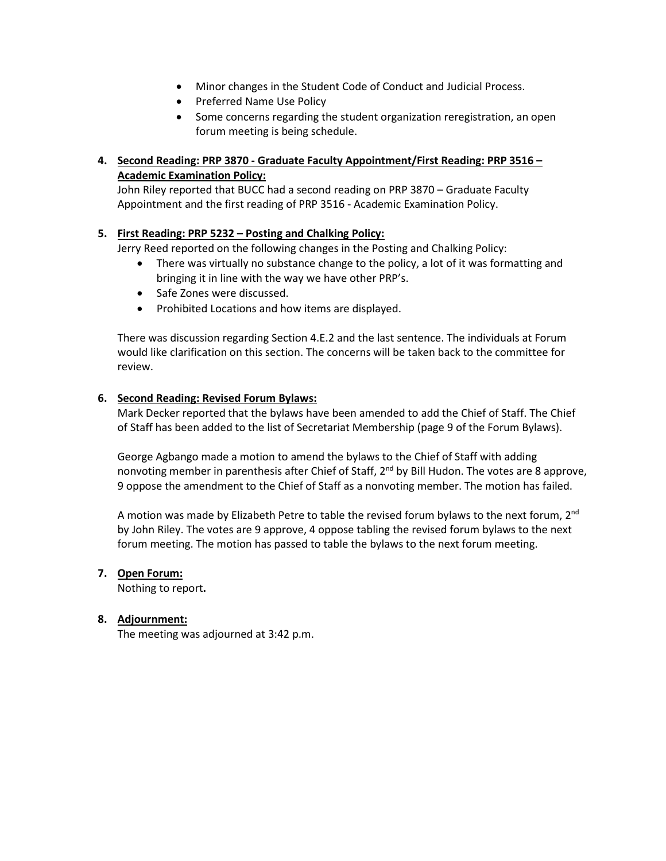- Minor changes in the Student Code of Conduct and Judicial Process.
- Preferred Name Use Policy
- Some concerns regarding the student organization reregistration, an open forum meeting is being schedule.

# **4. Second Reading: PRP 3870 - Graduate Faculty Appointment/First Reading: PRP 3516 – Academic Examination Policy:**

John Riley reported that BUCC had a second reading on PRP 3870 – Graduate Faculty Appointment and the first reading of PRP 3516 - Academic Examination Policy.

## **5. First Reading: PRP 5232 – Posting and Chalking Policy:**

Jerry Reed reported on the following changes in the Posting and Chalking Policy:

- There was virtually no substance change to the policy, a lot of it was formatting and bringing it in line with the way we have other PRP's.
- Safe Zones were discussed.
- Prohibited Locations and how items are displayed.

There was discussion regarding Section 4.E.2 and the last sentence. The individuals at Forum would like clarification on this section. The concerns will be taken back to the committee for review.

## **6. Second Reading: Revised Forum Bylaws:**

Mark Decker reported that the bylaws have been amended to add the Chief of Staff. The Chief of Staff has been added to the list of Secretariat Membership (page 9 of the Forum Bylaws).

George Agbango made a motion to amend the bylaws to the Chief of Staff with adding nonvoting member in parenthesis after Chief of Staff, 2<sup>nd</sup> by Bill Hudon. The votes are 8 approve, 9 oppose the amendment to the Chief of Staff as a nonvoting member. The motion has failed.

A motion was made by Elizabeth Petre to table the revised forum bylaws to the next forum, 2<sup>nd</sup> by John Riley. The votes are 9 approve, 4 oppose tabling the revised forum bylaws to the next forum meeting. The motion has passed to table the bylaws to the next forum meeting.

#### **7. Open Forum:**

Nothing to report**.**

# **8. Adjournment:**

The meeting was adjourned at 3:42 p.m.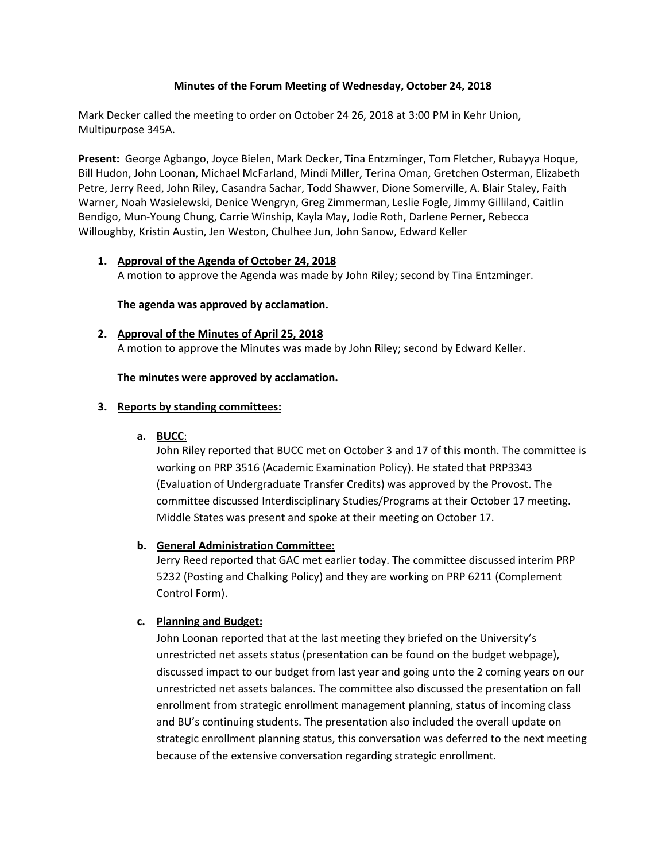#### **Minutes of the Forum Meeting of Wednesday, October 24, 2018**

Mark Decker called the meeting to order on October 24 26, 2018 at 3:00 PM in Kehr Union, Multipurpose 345A.

**Present:** George Agbango, Joyce Bielen, Mark Decker, Tina Entzminger, Tom Fletcher, Rubayya Hoque, Bill Hudon, John Loonan, Michael McFarland, Mindi Miller, Terina Oman, Gretchen Osterman, Elizabeth Petre, Jerry Reed, John Riley, Casandra Sachar, Todd Shawver, Dione Somerville, A. Blair Staley, Faith Warner, Noah Wasielewski, Denice Wengryn, Greg Zimmerman, Leslie Fogle, Jimmy Gilliland, Caitlin Bendigo, Mun-Young Chung, Carrie Winship, Kayla May, Jodie Roth, Darlene Perner, Rebecca Willoughby, Kristin Austin, Jen Weston, Chulhee Jun, John Sanow, Edward Keller

#### **1. Approval of the Agenda of October 24, 2018**

A motion to approve the Agenda was made by John Riley; second by Tina Entzminger.

#### **The agenda was approved by acclamation.**

**2. Approval of the Minutes of April 25, 2018** A motion to approve the Minutes was made by John Riley; second by Edward Keller.

**The minutes were approved by acclamation.**

#### **3. Reports by standing committees:**

**a. BUCC**:

John Riley reported that BUCC met on October 3 and 17 of this month. The committee is working on PRP 3516 (Academic Examination Policy). He stated that PRP3343 (Evaluation of Undergraduate Transfer Credits) was approved by the Provost. The committee discussed Interdisciplinary Studies/Programs at their October 17 meeting. Middle States was present and spoke at their meeting on October 17.

#### **b. General Administration Committee:**

Jerry Reed reported that GAC met earlier today. The committee discussed interim PRP 5232 (Posting and Chalking Policy) and they are working on PRP 6211 (Complement Control Form).

#### **c. Planning and Budget:**

John Loonan reported that at the last meeting they briefed on the University's unrestricted net assets status (presentation can be found on the budget webpage), discussed impact to our budget from last year and going unto the 2 coming years on our unrestricted net assets balances. The committee also discussed the presentation on fall enrollment from strategic enrollment management planning, status of incoming class and BU's continuing students. The presentation also included the overall update on strategic enrollment planning status, this conversation was deferred to the next meeting because of the extensive conversation regarding strategic enrollment.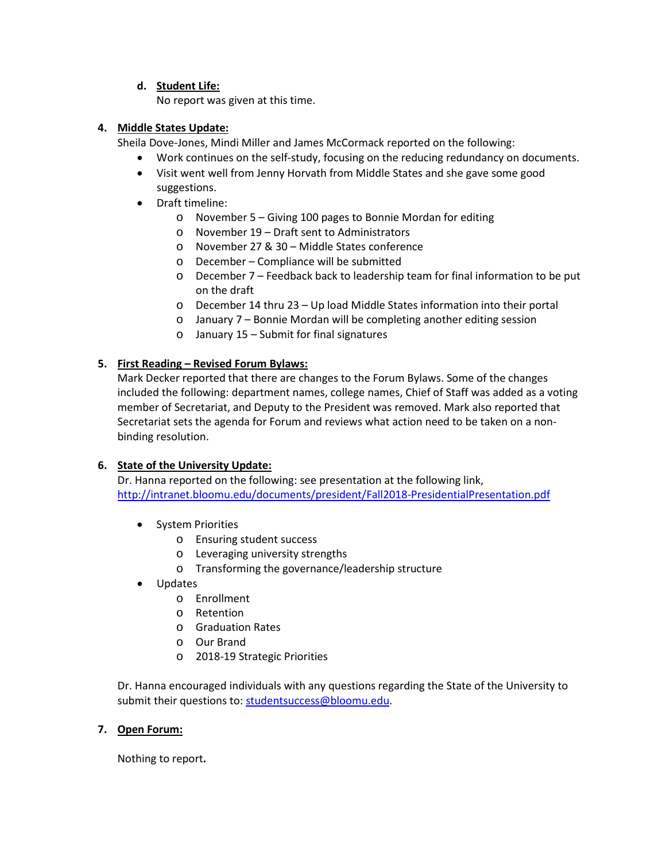## **d. Student Life:**

No report was given at this time.

## **4. Middle States Update:**

Sheila Dove-Jones, Mindi Miller and James McCormack reported on the following:

- Work continues on the self-study, focusing on the reducing redundancy on documents.
- Visit went well from Jenny Horvath from Middle States and she gave some good suggestions.
- Draft timeline:
	- o November 5 Giving 100 pages to Bonnie Mordan for editing
	- o November 19 Draft sent to Administrators
	- o November 27 & 30 Middle States conference
	- o December Compliance will be submitted
	- o December 7 Feedback back to leadership team for final information to be put on the draft
	- o December 14 thru 23 Up load Middle States information into their portal
	- o January 7 Bonnie Mordan will be completing another editing session
	- o January 15 Submit for final signatures

## **5. First Reading – Revised Forum Bylaws:**

Mark Decker reported that there are changes to the Forum Bylaws. Some of the changes included the following: department names, college names, Chief of Staff was added as a voting member of Secretariat, and Deputy to the President was removed. Mark also reported that Secretariat sets the agenda for Forum and reviews what action need to be taken on a nonbinding resolution.

# **6. State of the University Update:**

Dr. Hanna reported on the following: see presentation at the following link, <http://intranet.bloomu.edu/documents/president/Fall2018-PresidentialPresentation.pdf>

- System Priorities
	- o Ensuring student success
	- o Leveraging university strengths
	- o Transforming the governance/leadership structure
- Updates
	- o Enrollment
	- o Retention
	- o Graduation Rates
	- o Our Brand
	- o 2018-19 Strategic Priorities

Dr. Hanna encouraged individuals with any questions regarding the State of the University to submit their questions to: [studentsuccess@bloomu.edu.](mailto:studentsuccess@bloomu.edu)

#### **7. Open Forum:**

Nothing to report**.**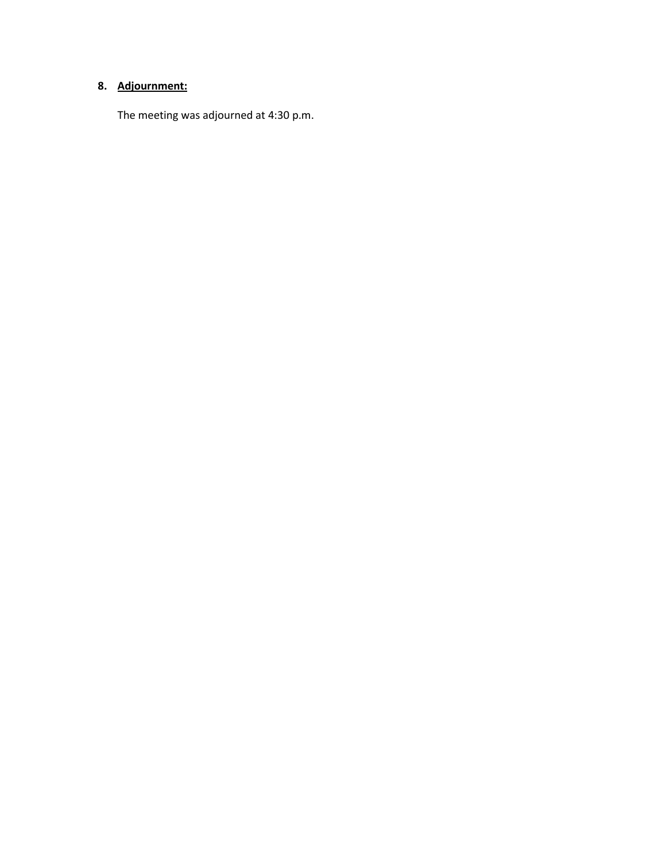# **8. Adjournment:**

The meeting was adjourned at 4:30 p.m.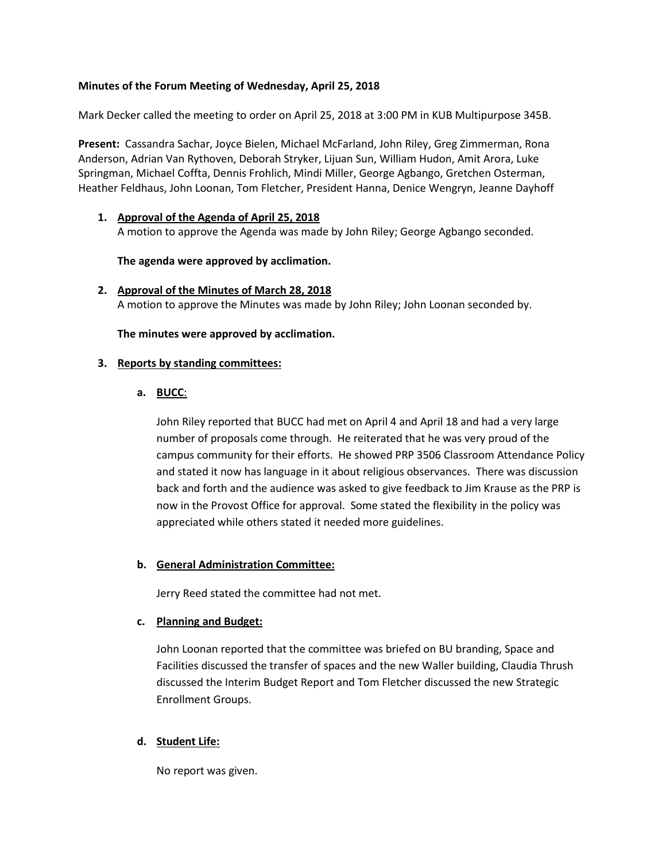## **Minutes of the Forum Meeting of Wednesday, April 25, 2018**

Mark Decker called the meeting to order on April 25, 2018 at 3:00 PM in KUB Multipurpose 345B.

**Present:** Cassandra Sachar, Joyce Bielen, Michael McFarland, John Riley, Greg Zimmerman, Rona Anderson, Adrian Van Rythoven, Deborah Stryker, Lijuan Sun, William Hudon, Amit Arora, Luke Springman, Michael Coffta, Dennis Frohlich, Mindi Miller, George Agbango, Gretchen Osterman, Heather Feldhaus, John Loonan, Tom Fletcher, President Hanna, Denice Wengryn, Jeanne Dayhoff

**1. Approval of the Agenda of April 25, 2018** A motion to approve the Agenda was made by John Riley; George Agbango seconded.

**The agenda were approved by acclimation.**

**2. Approval of the Minutes of March 28, 2018** A motion to approve the Minutes was made by John Riley; John Loonan seconded by.

**The minutes were approved by acclimation.**

#### **3. Reports by standing committees:**

#### **a. BUCC**:

John Riley reported that BUCC had met on April 4 and April 18 and had a very large number of proposals come through. He reiterated that he was very proud of the campus community for their efforts. He showed PRP 3506 Classroom Attendance Policy and stated it now has language in it about religious observances. There was discussion back and forth and the audience was asked to give feedback to Jim Krause as the PRP is now in the Provost Office for approval. Some stated the flexibility in the policy was appreciated while others stated it needed more guidelines.

#### **b. General Administration Committee:**

Jerry Reed stated the committee had not met.

#### **c. Planning and Budget:**

John Loonan reported that the committee was briefed on BU branding, Space and Facilities discussed the transfer of spaces and the new Waller building, Claudia Thrush discussed the Interim Budget Report and Tom Fletcher discussed the new Strategic Enrollment Groups.

#### **d. Student Life:**

No report was given.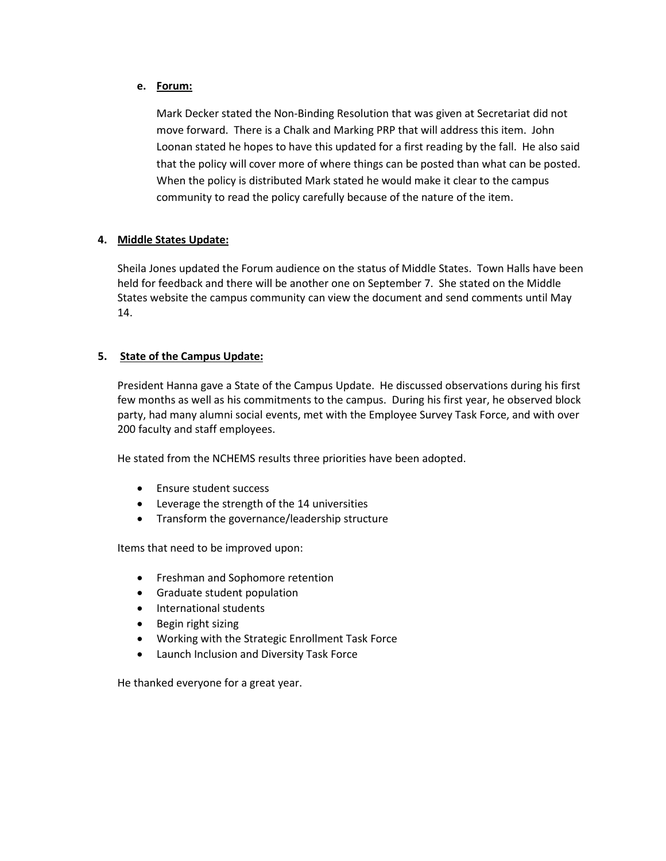#### **e. Forum:**

Mark Decker stated the Non-Binding Resolution that was given at Secretariat did not move forward. There is a Chalk and Marking PRP that will address this item. John Loonan stated he hopes to have this updated for a first reading by the fall. He also said that the policy will cover more of where things can be posted than what can be posted. When the policy is distributed Mark stated he would make it clear to the campus community to read the policy carefully because of the nature of the item.

# **4. Middle States Update:**

Sheila Jones updated the Forum audience on the status of Middle States. Town Halls have been held for feedback and there will be another one on September 7. She stated on the Middle States website the campus community can view the document and send comments until May 14.

# **5. State of the Campus Update:**

President Hanna gave a State of the Campus Update. He discussed observations during his first few months as well as his commitments to the campus. During his first year, he observed block party, had many alumni social events, met with the Employee Survey Task Force, and with over 200 faculty and staff employees.

He stated from the NCHEMS results three priorities have been adopted.

- Ensure student success
- Leverage the strength of the 14 universities
- Transform the governance/leadership structure

Items that need to be improved upon:

- Freshman and Sophomore retention
- Graduate student population
- International students
- Begin right sizing
- Working with the Strategic Enrollment Task Force
- Launch Inclusion and Diversity Task Force

He thanked everyone for a great year.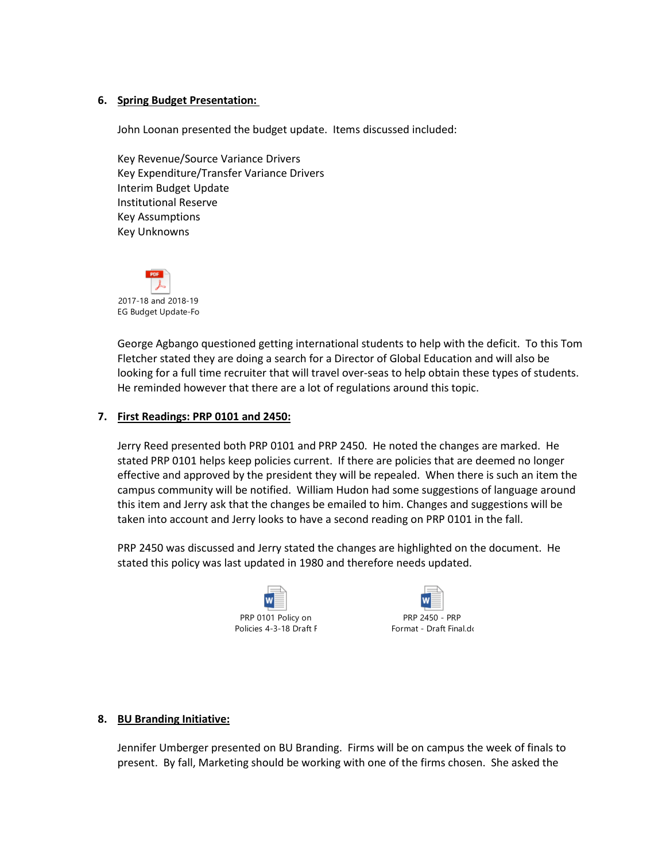#### **6. Spring Budget Presentation:**

John Loonan presented the budget update. Items discussed included:

Key Revenue/Source Variance Drivers Key Expenditure/Transfer Variance Drivers Interim Budget Update Institutional Reserve Key Assumptions Key Unknowns



George Agbango questioned getting international students to help with the deficit. To this Tom Fletcher stated they are doing a search for a Director of Global Education and will also be looking for a full time recruiter that will travel over-seas to help obtain these types of students. He reminded however that there are a lot of regulations around this topic.

#### **7. First Readings: PRP 0101 and 2450:**

Jerry Reed presented both PRP 0101 and PRP 2450. He noted the changes are marked. He stated PRP 0101 helps keep policies current. If there are policies that are deemed no longer effective and approved by the president they will be repealed. When there is such an item the campus community will be notified. William Hudon had some suggestions of language around this item and Jerry ask that the changes be emailed to him. Changes and suggestions will be taken into account and Jerry looks to have a second reading on PRP 0101 in the fall.

PRP 2450 was discussed and Jerry stated the changes are highlighted on the document. He stated this policy was last updated in 1980 and therefore needs updated.





#### **8. BU Branding Initiative:**

Jennifer Umberger presented on BU Branding. Firms will be on campus the week of finals to present. By fall, Marketing should be working with one of the firms chosen. She asked the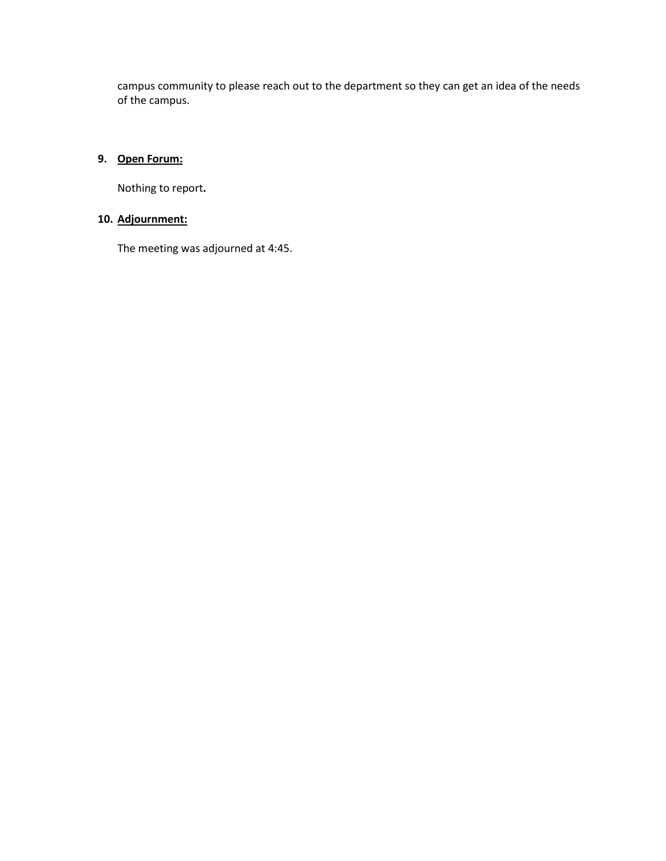campus community to please reach out to the department so they can get an idea of the needs of the campus.

# **9. Open Forum:**

Nothing to report**.**

# **10. Adjournment:**

The meeting was adjourned at 4:45.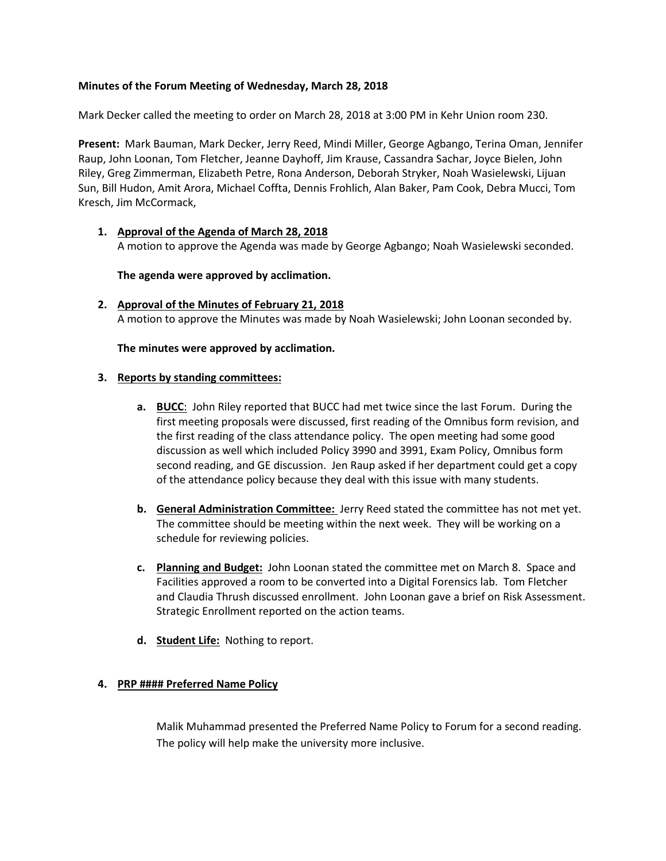## **Minutes of the Forum Meeting of Wednesday, March 28, 2018**

Mark Decker called the meeting to order on March 28, 2018 at 3:00 PM in Kehr Union room 230.

**Present:** Mark Bauman, Mark Decker, Jerry Reed, Mindi Miller, George Agbango, Terina Oman, Jennifer Raup, John Loonan, Tom Fletcher, Jeanne Dayhoff, Jim Krause, Cassandra Sachar, Joyce Bielen, John Riley, Greg Zimmerman, Elizabeth Petre, Rona Anderson, Deborah Stryker, Noah Wasielewski, Lijuan Sun, Bill Hudon, Amit Arora, Michael Coffta, Dennis Frohlich, Alan Baker, Pam Cook, Debra Mucci, Tom Kresch, Jim McCormack,

#### **1. Approval of the Agenda of March 28, 2018** A motion to approve the Agenda was made by George Agbango; Noah Wasielewski seconded.

**The agenda were approved by acclimation.**

**2. Approval of the Minutes of February 21, 2018** A motion to approve the Minutes was made by Noah Wasielewski; John Loonan seconded by.

#### **The minutes were approved by acclimation.**

#### **3. Reports by standing committees:**

- **a. BUCC**: John Riley reported that BUCC had met twice since the last Forum. During the first meeting proposals were discussed, first reading of the Omnibus form revision, and the first reading of the class attendance policy. The open meeting had some good discussion as well which included Policy 3990 and 3991, Exam Policy, Omnibus form second reading, and GE discussion. Jen Raup asked if her department could get a copy of the attendance policy because they deal with this issue with many students.
- **b. General Administration Committee:** Jerry Reed stated the committee has not met yet. The committee should be meeting within the next week. They will be working on a schedule for reviewing policies.
- **c. Planning and Budget:** John Loonan stated the committee met on March 8. Space and Facilities approved a room to be converted into a Digital Forensics lab. Tom Fletcher and Claudia Thrush discussed enrollment. John Loonan gave a brief on Risk Assessment. Strategic Enrollment reported on the action teams.
- **d. Student Life:** Nothing to report.

#### **4. PRP #### Preferred Name Policy**

Malik Muhammad presented the Preferred Name Policy to Forum for a second reading. The policy will help make the university more inclusive.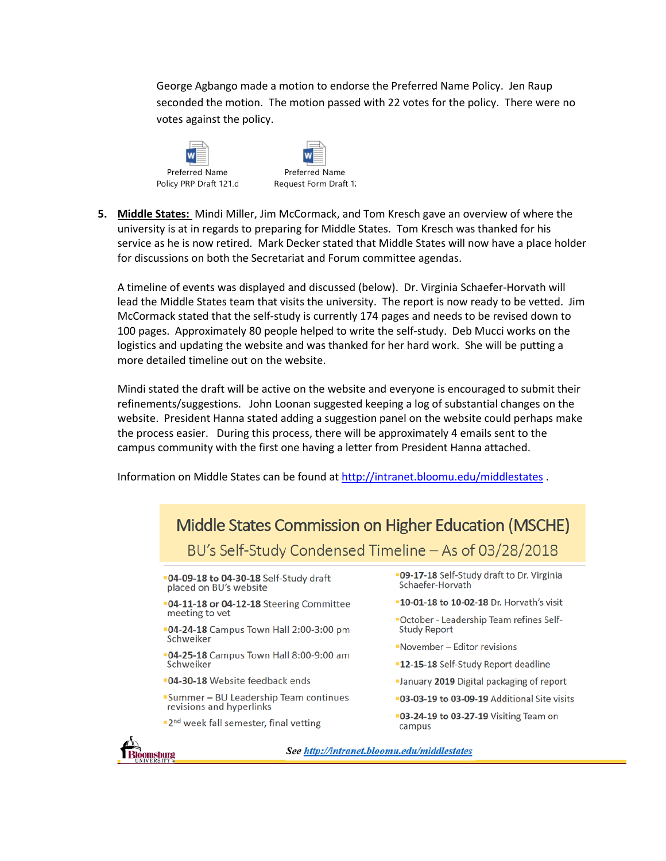George Agbango made a motion to endorse the Preferred Name Policy. Jen Raup seconded the motion. The motion passed with 22 votes for the policy. There were no votes against the policy.





**5. Middle States:** Mindi Miller, Jim McCormack, and Tom Kresch gave an overview of where the university is at in regards to preparing for Middle States. Tom Kresch was thanked for his service as he is now retired. Mark Decker stated that Middle States will now have a place holder for discussions on both the Secretariat and Forum committee agendas.

A timeline of events was displayed and discussed (below). Dr. Virginia Schaefer-Horvath will lead the Middle States team that visits the university. The report is now ready to be vetted. Jim McCormack stated that the self-study is currently 174 pages and needs to be revised down to 100 pages. Approximately 80 people helped to write the self-study. Deb Mucci works on the logistics and updating the website and was thanked for her hard work. She will be putting a more detailed timeline out on the website.

Mindi stated the draft will be active on the website and everyone is encouraged to submit their refinements/suggestions. John Loonan suggested keeping a log of substantial changes on the website. President Hanna stated adding a suggestion panel on the website could perhaps make the process easier. During this process, there will be approximately 4 emails sent to the campus community with the first one having a letter from President Hanna attached.

Information on Middle States can be found at<http://intranet.bloomu.edu/middlestates> .

| Middle States Commission on Higher Education (MSCHE)<br>BU's Self-Study Condensed Timeline – As of 03/28/2018 |                                                                       |
|---------------------------------------------------------------------------------------------------------------|-----------------------------------------------------------------------|
| <b>04-09-18 to 04-30-18</b> Self-Study draft<br>placed on BU's website                                        | <b>-09-17-18</b> Self-Study draft to Dr. Virginia<br>Schaefer-Horvath |
| <b>04-11-18 or 04-12-18</b> Steering Committee                                                                | <b>-10-01-18 to 10-02-18</b> Dr. Horvath's visit                      |
| meeting to vet                                                                                                | "October - Leadership Team refines Self-                              |
| <b>04-24-18</b> Campus Town Hall 2:00-3:00 pm<br>Schweiker                                                    | <b>Study Report</b>                                                   |
| <b>04-25-18</b> Campus Town Hall 8:00-9:00 am<br>Schweiker                                                    | November - Editor revisions                                           |
|                                                                                                               | <b>-12-15-18</b> Self-Study Report deadline                           |
| <b>04-30-18</b> Website feedback ends                                                                         | <b>-January 2019</b> Digital packaging of report                      |
| <b>Summer – BU Leadership Team continues</b><br>revisions and hyperlinks                                      | <b>03-03-19 to 03-09-19</b> Additional Site visits                    |
| "2 <sup>nd</sup> week fall semester, final vetting                                                            | <b>03-24-19 to 03-27-19</b> Visiting Team on<br>campus                |
| See http://intranet.bloomu.edu/middlestates<br>haanzi                                                         |                                                                       |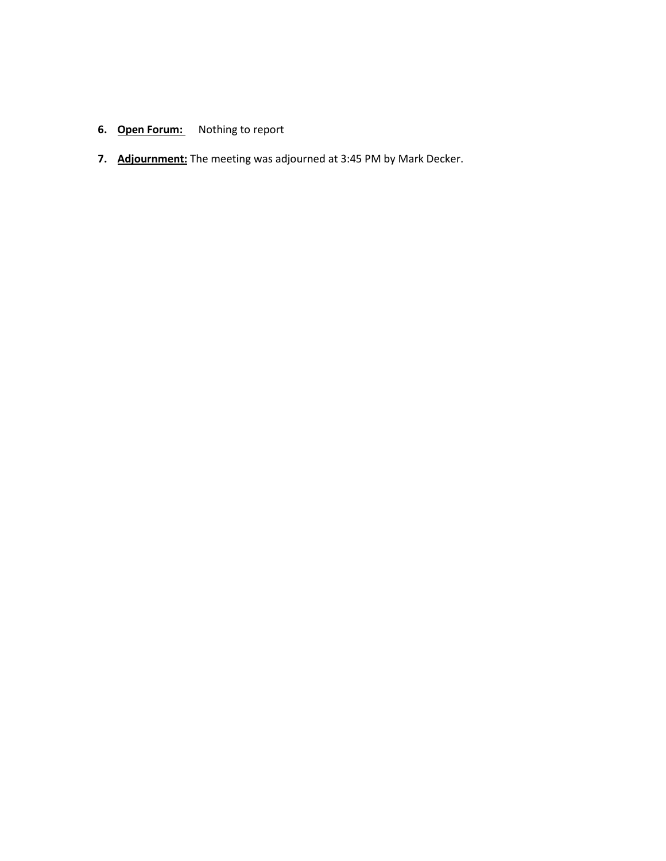# **6. Open Forum:** Nothing to report

**7. Adjournment:** The meeting was adjourned at 3:45 PM by Mark Decker.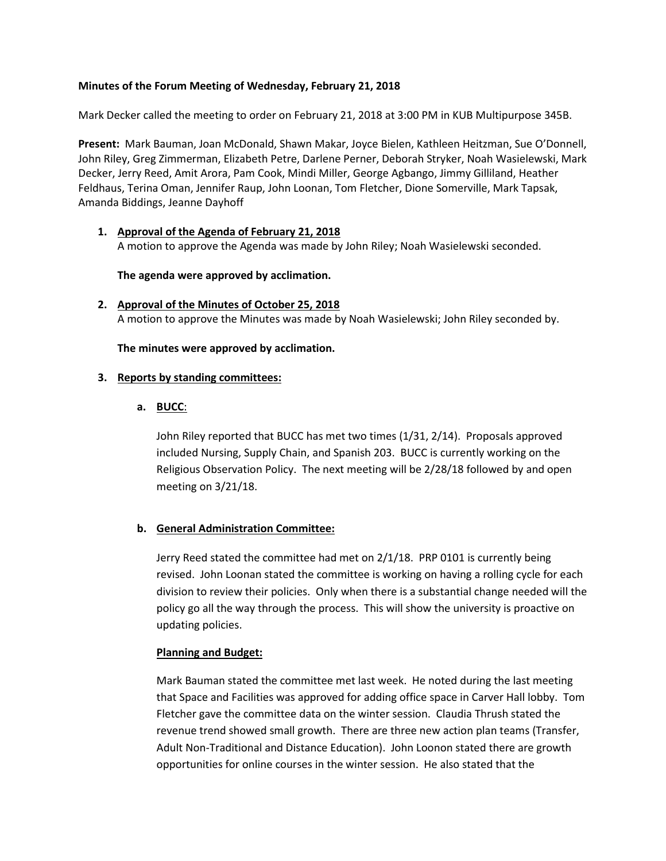#### **Minutes of the Forum Meeting of Wednesday, February 21, 2018**

Mark Decker called the meeting to order on February 21, 2018 at 3:00 PM in KUB Multipurpose 345B.

**Present:** Mark Bauman, Joan McDonald, Shawn Makar, Joyce Bielen, Kathleen Heitzman, Sue O'Donnell, John Riley, Greg Zimmerman, Elizabeth Petre, Darlene Perner, Deborah Stryker, Noah Wasielewski, Mark Decker, Jerry Reed, Amit Arora, Pam Cook, Mindi Miller, George Agbango, Jimmy Gilliland, Heather Feldhaus, Terina Oman, Jennifer Raup, John Loonan, Tom Fletcher, Dione Somerville, Mark Tapsak, Amanda Biddings, Jeanne Dayhoff

#### **1. Approval of the Agenda of February 21, 2018** A motion to approve the Agenda was made by John Riley; Noah Wasielewski seconded.

#### **The agenda were approved by acclimation.**

**2. Approval of the Minutes of October 25, 2018** A motion to approve the Minutes was made by Noah Wasielewski; John Riley seconded by.

#### **The minutes were approved by acclimation.**

#### **3. Reports by standing committees:**

#### **a. BUCC**:

John Riley reported that BUCC has met two times (1/31, 2/14). Proposals approved included Nursing, Supply Chain, and Spanish 203. BUCC is currently working on the Religious Observation Policy. The next meeting will be 2/28/18 followed by and open meeting on 3/21/18.

#### **b. General Administration Committee:**

Jerry Reed stated the committee had met on 2/1/18. PRP 0101 is currently being revised. John Loonan stated the committee is working on having a rolling cycle for each division to review their policies. Only when there is a substantial change needed will the policy go all the way through the process. This will show the university is proactive on updating policies.

#### **Planning and Budget:**

Mark Bauman stated the committee met last week. He noted during the last meeting that Space and Facilities was approved for adding office space in Carver Hall lobby. Tom Fletcher gave the committee data on the winter session. Claudia Thrush stated the revenue trend showed small growth. There are three new action plan teams (Transfer, Adult Non-Traditional and Distance Education). John Loonon stated there are growth opportunities for online courses in the winter session. He also stated that the